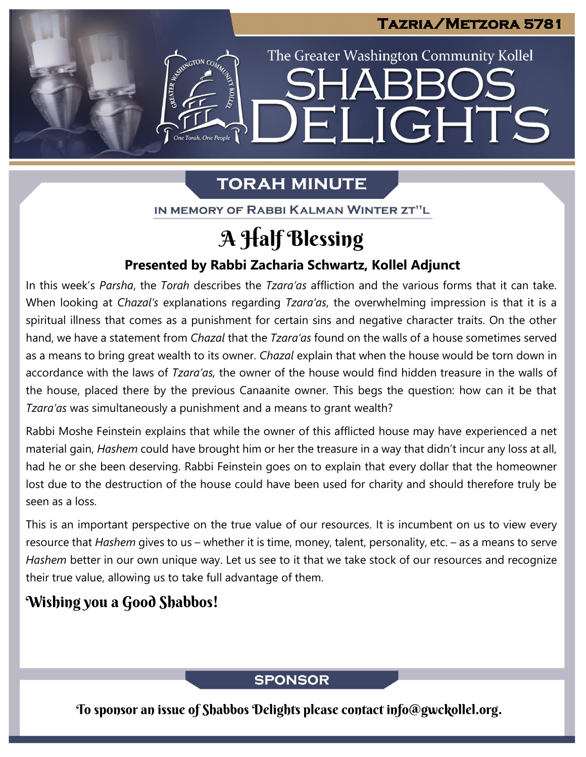# **Tazria/Metzora 5781**

The Greater Washington Community Kollel

ELIGHTS

# **TORAH MINUTE**

IN MEMORY OF RABBI KALMAN WINTER ZT"L

# A Half Blessing

## **Presented by Rabbi Zacharia Schwartz, Kollel Adjunct**

In this week's Parsha, the *Torah* describes the *Tzara'as* affliction and the various forms that it can take. When looking at *Chazal's* explanations regarding *Tzara'as*, the overwhelming impression is that it is a spiritual illness that comes as a punishment for certain sins and negative character traits. On the other hand, we have a statement from *Chazal* that the *Tzara'as* found on the walls of a house sometimes served as a means to bring great wealth to its owner. *Chazal* explain that when the house would be torn down in accordance with the laws of *Tzara'as,* the owner of the house would find hidden treasure in the walls of the house, placed there by the previous Canaanite owner. This begs the question: how can it be that *Tzara'as* was simultaneously a punishment and a means to grant wealth?

Rabbi Moshe Feinstein explains that while the owner of this afflicted house may have experienced a net material gain, *Hashem* could have brought him or her the treasure in a way that didn't incur any loss at all, had he or she been deserving. Rabbi Feinstein goes on to explain that every dollar that the homeowner lost due to the destruction of the house could have been used for charity and should therefore truly be seen as a loss.

This is an important perspective on the true value of our resources. It is incumbent on us to view every resource that *Hashem* gives to us – whether it is time, money, talent, personality, etc. – as a means to serve *Hashem* better in our own unique way. Let us see to it that we take stock of our resources and recognize their true value, allowing us to take full advantage of them.

# Wishing you a Good Shabbos!

# **SPONSOR**

To sponsor an issue of Shabbos Delights please contact info@gwckollel.org.